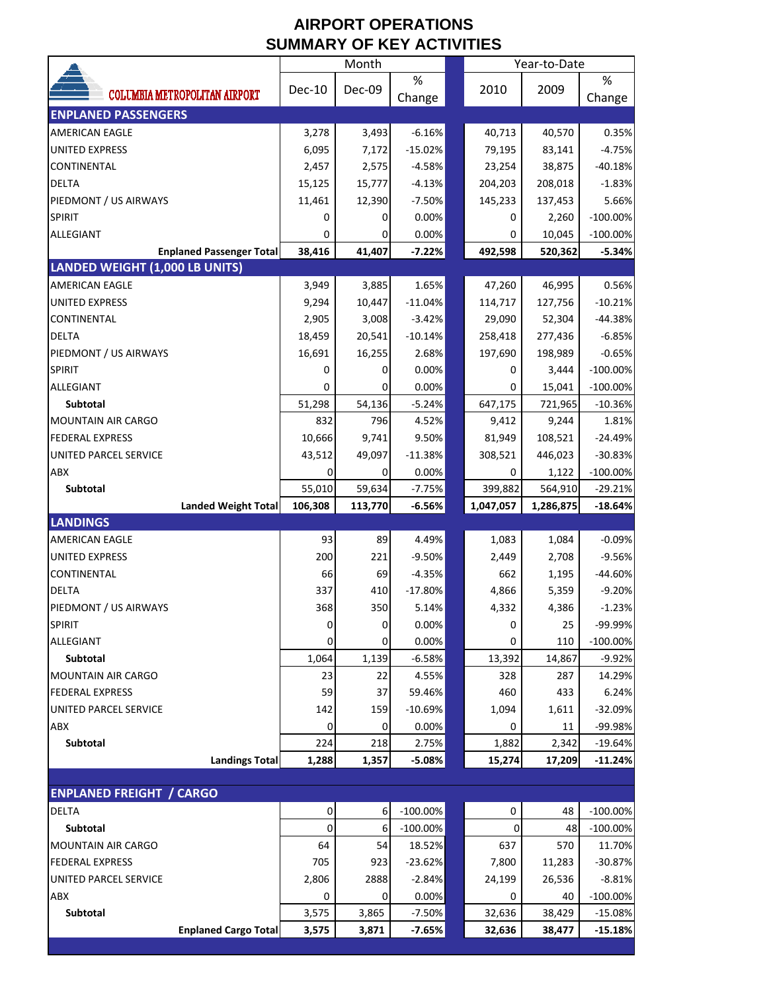## **AIRPORT OPERATIONS SUMMARY OF KEY ACTIVITIES**

|                                                                          |                  | Month            |                     |                    | Year-to-Date       |                      |
|--------------------------------------------------------------------------|------------------|------------------|---------------------|--------------------|--------------------|----------------------|
| <b>COLUMBIA METROPOLITAN AIRPORT</b>                                     | Dec-10           | Dec-09           | %                   | 2010               | 2009               | $\%$                 |
|                                                                          |                  |                  | Change              |                    |                    | Change               |
| <b>ENPLANED PASSENGERS</b>                                               |                  |                  |                     |                    |                    |                      |
| AMERICAN EAGLE                                                           | 3,278            | 3,493            | $-6.16%$            | 40,713             | 40,570             | 0.35%                |
| UNITED EXPRESS                                                           | 6,095            | 7,172            | $-15.02%$           | 79,195             | 83,141             | $-4.75%$             |
| CONTINENTAL                                                              | 2,457            | 2,575            | $-4.58%$            | 23,254             | 38,875             | $-40.18%$            |
| <b>DELTA</b>                                                             | 15,125           | 15,777           | $-4.13%$            | 204,203            | 208,018            | $-1.83%$             |
| PIEDMONT / US AIRWAYS                                                    | 11,461           | 12,390           | $-7.50%$            | 145,233            | 137,453            | 5.66%                |
| <b>SPIRIT</b>                                                            | 0                | 0                | 0.00%               | 0                  | 2,260              | $-100.00\%$          |
| ALLEGIANT                                                                | 0                | 0                | 0.00%               | 0                  | 10,045             | $-100.00%$           |
| <b>Enplaned Passenger Total</b><br><b>LANDED WEIGHT (1,000 LB UNITS)</b> | 38,416           | 41,407           | $-7.22%$            | 492,598            | 520,362            | $-5.34%$             |
| <b>AMERICAN EAGLE</b>                                                    | 3,949            | 3,885            | 1.65%               |                    | 46,995             | 0.56%                |
| <b>UNITED EXPRESS</b>                                                    | 9,294            | 10,447           | $-11.04%$           | 47,260<br>114,717  | 127,756            | $-10.21%$            |
| CONTINENTAL                                                              |                  |                  |                     |                    |                    |                      |
|                                                                          | 2,905            | 3,008            | $-3.42%$            | 29,090             | 52,304             | $-44.38%$            |
| DELTA<br>PIEDMONT / US AIRWAYS                                           | 18,459<br>16,691 | 20,541<br>16,255 | $-10.14%$<br>2.68%  | 258,418<br>197,690 | 277,436<br>198,989 | $-6.85%$<br>$-0.65%$ |
| <b>SPIRIT</b>                                                            | 0                | 0                | 0.00%               | 0                  | 3,444              | $-100.00\%$          |
| ALLEGIANT                                                                | 0                | 0                | 0.00%               | 0                  | 15,041             | $-100.00%$           |
| <b>Subtotal</b>                                                          | 51,298           | 54,136           | $-5.24%$            | 647,175            | 721,965            | $-10.36%$            |
| <b>MOUNTAIN AIR CARGO</b>                                                | 832              | 796              | 4.52%               | 9,412              | 9,244              | 1.81%                |
| <b>FEDERAL EXPRESS</b>                                                   | 10,666           | 9,741            | 9.50%               | 81,949             | 108,521            | $-24.49%$            |
| UNITED PARCEL SERVICE                                                    | 43,512           | 49,097           | $-11.38%$           | 308,521            | 446,023            | $-30.83%$            |
| ABX                                                                      | 0                | 0                | 0.00%               | 0                  | 1,122              | $-100.00\%$          |
| Subtotal                                                                 | 55,010           | 59,634           | $-7.75%$            | 399,882            | 564,910            | $-29.21%$            |
|                                                                          |                  |                  |                     |                    |                    |                      |
|                                                                          |                  |                  |                     |                    |                    |                      |
| <b>Landed Weight Total</b>                                               | 106,308          | 113,770          | $-6.56%$            | 1,047,057          | 1,286,875          | $-18.64%$            |
| <b>LANDINGS</b><br><b>AMERICAN EAGLE</b>                                 |                  |                  |                     |                    |                    |                      |
|                                                                          | 93               | 89               | 4.49%               | 1,083              | 1,084              | $-0.09%$             |
| <b>UNITED EXPRESS</b><br><b>CONTINENTAL</b>                              | 200              | 221              | $-9.50%$            | 2,449              | 2,708              | $-9.56%$             |
| <b>DELTA</b>                                                             | 66               | 69               | $-4.35%$            | 662                | 1,195              | $-44.60%$            |
|                                                                          | 337              | 410              | $-17.80%$           | 4,866              | 5,359              | $-9.20%$             |
| PIEDMONT / US AIRWAYS                                                    | 368              | 350              | 5.14%               | 4,332<br>0         | 4,386              | $-1.23%$             |
| <b>SPIRIT</b>                                                            | 0<br>0           | $\pmb{0}$<br>0   | 0.00%               | 0                  | 25                 | -99.99%              |
| ALLEGIANT<br><b>Subtotal</b>                                             |                  |                  | 0.00%               |                    | 110                | $-100.00\%$          |
| <b>MOUNTAIN AIR CARGO</b>                                                | 1,064<br>23      | 1,139<br>22      | $-6.58%$<br>4.55%   | 13,392<br>328      | 14,867<br>287      | $-9.92%$<br>14.29%   |
| <b>FEDERAL EXPRESS</b>                                                   |                  |                  |                     | 460                | 433                |                      |
| UNITED PARCEL SERVICE                                                    | 59               | 37<br>159        | 59.46%<br>$-10.69%$ |                    | 1,611              | 6.24%<br>$-32.09%$   |
| ABX                                                                      | 142<br>0         | 0                | 0.00%               | 1,094<br>0         | 11                 |                      |
| Subtotal                                                                 | 224              | 218              | 2.75%               | 1,882              | 2,342              | -99.98%<br>$-19.64%$ |
| <b>Landings Total</b>                                                    | 1,288            | 1,357            | $-5.08%$            | 15,274             | 17,209             | $-11.24%$            |
|                                                                          |                  |                  |                     |                    |                    |                      |
| <b>ENPLANED FREIGHT / CARGO</b>                                          |                  |                  |                     |                    |                    |                      |
| <b>DELTA</b>                                                             | $\mathbf 0$      | 6                | $-100.00\%$         | 0                  | 48                 | $-100.00\%$          |
| Subtotal                                                                 | 0                | 6                | $-100.00\%$         | 0                  | 48                 | $-100.00\%$          |
| <b>MOUNTAIN AIR CARGO</b>                                                | 64               | 54               | 18.52%              | 637                | 570                | 11.70%               |
| <b>FEDERAL EXPRESS</b>                                                   | 705              | 923              | $-23.62%$           | 7,800              | 11,283             | $-30.87%$            |
| UNITED PARCEL SERVICE                                                    | 2,806            | 2888             | $-2.84%$            | 24,199             | 26,536             | $-8.81%$             |
| ABX                                                                      | 0                | 0                | 0.00%               | 0                  | 40                 | $-100.00\%$          |
| Subtotal                                                                 | 3,575            | 3,865            | $-7.50%$            | 32,636             | 38,429             | $-15.08%$            |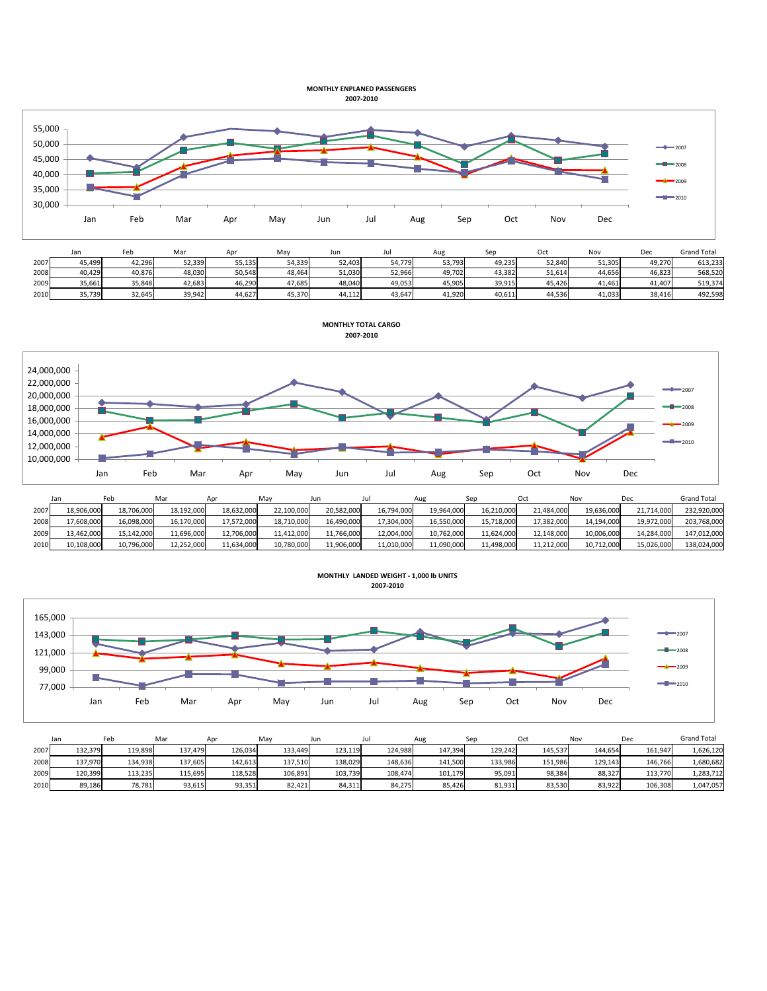## **MONTHLY ENPLANED PASSENGERS 2007-2010**



|      | Jan    | Feb    | Mar    | Apr    | Mav    | Jun    | Jur    | Aug    | Ser    |        |        | Dec    | <b>Grand Total</b> |
|------|--------|--------|--------|--------|--------|--------|--------|--------|--------|--------|--------|--------|--------------------|
| 2007 | 45,499 | 42,296 | 52,339 | 55,135 | 54,339 | 52,403 | 54.779 | 53,793 | 49,235 | 52,840 | 51,305 | 49,270 | 613,233            |
| 2008 | 40,429 | 40,876 | 48,030 | 50,548 | 48,464 | 51,030 | 52,966 | 49,702 | 43,382 | 51,614 | 44,656 | 46,823 | 568,520            |
| 2009 | 35,661 | 35,848 | 42,683 | 46,290 | 47,685 | 48,040 | 49,053 | 45,905 | 39,915 | 45,426 | 41.461 | 41,407 | 519,374            |
| 2010 | 35,739 | 32.645 | 39.942 | 44,627 | 45.370 | 44,112 | 43.647 | 41,920 | 40,611 | 44.536 | 41,033 | 38,416 | 492,598            |

**MONTHLY TOTAL CARGO**



|      | Jan        | Feb        | Mar        |            | Mav        | Jun        | Jul        | Aug        | Sep        |            | Nov        | De         | <b>Grand Total</b> |
|------|------------|------------|------------|------------|------------|------------|------------|------------|------------|------------|------------|------------|--------------------|
| 2007 | 18.906.000 | 18.706.000 | 18.192.000 | 18.632.000 | 22,100,000 | 20.582.000 | 16,794,000 | 19.964.000 | 16.210.000 | 21.484.000 | 19.636.000 | 21.714.000 | 232,920,000        |
| 2008 | 17,608,000 | 16,098,000 | 16,170,000 | 17,572,000 | 18,710,000 | 16,490,000 | 17,304,000 | 16,550,000 | 15,718,000 | 17,382,000 | 14,194,000 | 19,972,000 | 203,768,000        |
| 2009 | 13,462,000 | 15,142,000 | 11,696,000 | 12,706,000 | 11,412,000 | 11,766,000 | 12,004,000 | 10,762,000 | 11,624,000 | 12,148,000 | 10,006,000 | 14,284,000 | 147,012,000        |
| 2010 | 10,108,000 | 10,796,000 | 12,252,000 | 11,634,000 | 10,780,000 | 11,906,000 | 11,010,000 | 11.090.000 | 11,498,000 | 11,212,000 | 10,712,000 | 15,026,000 | 138,024,000        |



|      | Jan     | Feb     | Mar     | Apr     | Mav     | Jun     |         | Aug     | Sep     | Oct     | Nov     | Dec     | <b>Grand Total</b> |
|------|---------|---------|---------|---------|---------|---------|---------|---------|---------|---------|---------|---------|--------------------|
| 2007 | 132.379 | 119.898 | 137.479 | 126.034 | 133.449 | 123.119 | 124.988 | 147,394 | 129.242 | 145.537 | 144.654 | 161.947 | 1,626,120          |
| 2008 | 137.970 | 134,938 | 137,605 | 142,613 | 137,510 | 138,029 | 148,636 | 141,500 | 133,986 | 151,986 | 129,143 | 146.766 | 1,680,682          |
| 2009 | 120.399 | 113,235 | 115,695 | 118,528 | 106,891 | 103,739 | 108.474 | 101,179 | 95,091  | 98,384  | 88,327  | 113,770 | 1,283,712          |
| 2010 | 89.186  | 78,781  | 93,615  | 93,351  | 82.421  | 84.311  | 84,275  | 85,426  | 81,931  | 83,530  | 83.922  | 106,308 | 1,047,057          |